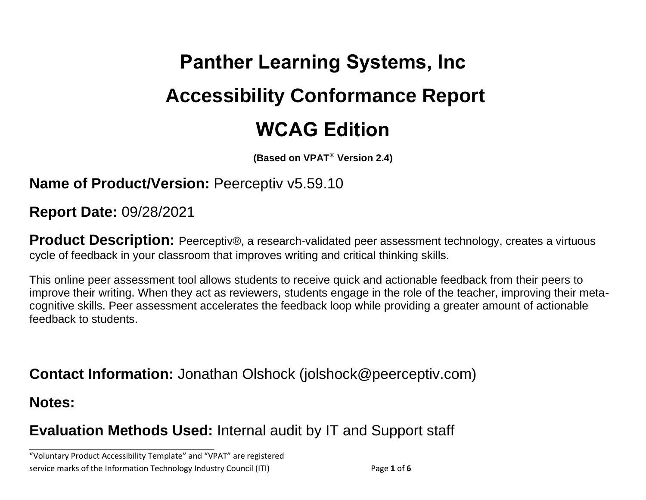# **Panther Learning Systems, Inc Accessibility Conformance Report WCAG Edition**

**(Based on VPAT**® **Version 2.4)**

**Name of Product/Version: Peerceptiv v5.59.10** 

**Report Date:** 09/28/2021

**Product Description:** Peerceptiv®, a research-validated peer assessment technology, creates a virtuous cycle of feedback in your classroom that improves writing and critical thinking skills.

This online peer assessment tool allows students to receive quick and actionable feedback from their peers to improve their writing. When they act as reviewers, students engage in the role of the teacher, improving their metacognitive skills. Peer assessment accelerates the feedback loop while providing a greater amount of actionable feedback to students.

**Contact Information:** Jonathan Olshock (jolshock@peerceptiv.com)

**Notes:**

## **Evaluation Methods Used:** Internal audit by IT and Support staff

"Voluntary Product Accessibility Template" and "VPAT" are registered service marks of the Information Technology Industry Council (ITI) Page **1** of **6**

**\_\_\_\_\_\_\_\_\_\_\_\_\_\_\_\_\_\_\_\_\_\_\_\_\_\_\_\_\_\_\_\_\_\_**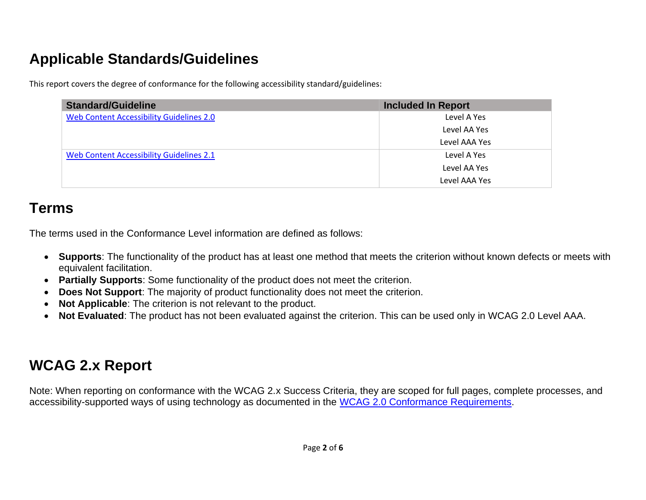## **Applicable Standards/Guidelines**

This report covers the degree of conformance for the following accessibility standard/guidelines:

| <b>Standard/Guideline</b>                       | <b>Included In Report</b> |
|-------------------------------------------------|---------------------------|
| <b>Web Content Accessibility Guidelines 2.0</b> | Level A Yes               |
|                                                 | Level AA Yes              |
|                                                 | Level AAA Yes             |
| Web Content Accessibility Guidelines 2.1        | Level A Yes               |
|                                                 | Level AA Yes              |
|                                                 | Level AAA Yes             |

## **Terms**

The terms used in the Conformance Level information are defined as follows:

- **Supports**: The functionality of the product has at least one method that meets the criterion without known defects or meets with equivalent facilitation.
- **Partially Supports**: Some functionality of the product does not meet the criterion.
- **Does Not Support**: The majority of product functionality does not meet the criterion.
- **Not Applicable**: The criterion is not relevant to the product.
- **Not Evaluated**: The product has not been evaluated against the criterion. This can be used only in WCAG 2.0 Level AAA.

## **WCAG 2.x Report**

Note: When reporting on conformance with the WCAG 2.x Success Criteria, they are scoped for full pages, complete processes, and accessibility-supported ways of using technology as documented in the [WCAG 2.0 Conformance Requirements.](https://www.w3.org/TR/WCAG20/#conformance-reqs)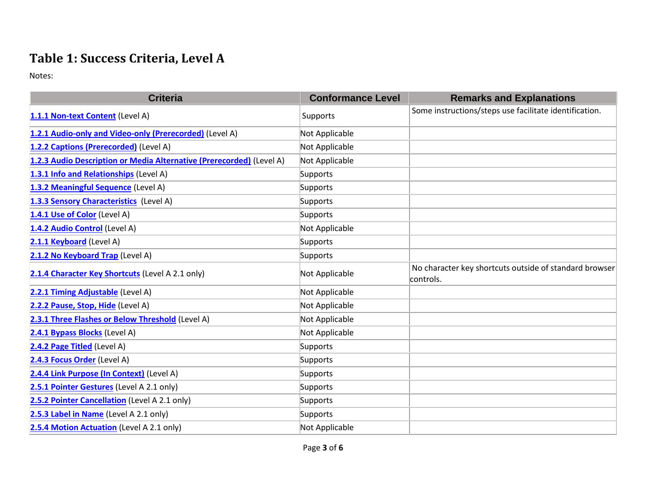### **Table 1: Success Criteria, Level A**

Notes:

| <b>Criteria</b>                                                      | <b>Conformance Level</b> | <b>Remarks and Explanations</b>                                     |
|----------------------------------------------------------------------|--------------------------|---------------------------------------------------------------------|
| 1.1.1 Non-text Content (Level A)                                     | Supports                 | Some instructions/steps use facilitate identification.              |
| 1.2.1 Audio-only and Video-only (Prerecorded) (Level A)              | Not Applicable           |                                                                     |
| 1.2.2 Captions (Prerecorded) (Level A)                               | Not Applicable           |                                                                     |
| 1.2.3 Audio Description or Media Alternative (Prerecorded) (Level A) | Not Applicable           |                                                                     |
| 1.3.1 Info and Relationships (Level A)                               | Supports                 |                                                                     |
| 1.3.2 Meaningful Sequence (Level A)                                  | Supports                 |                                                                     |
| 1.3.3 Sensory Characteristics (Level A)                              | Supports                 |                                                                     |
| 1.4.1 Use of Color (Level A)                                         | Supports                 |                                                                     |
| 1.4.2 Audio Control (Level A)                                        | Not Applicable           |                                                                     |
| 2.1.1 Keyboard (Level A)                                             | Supports                 |                                                                     |
| 2.1.2 No Keyboard Trap (Level A)                                     | Supports                 |                                                                     |
| 2.1.4 Character Key Shortcuts (Level A 2.1 only)                     | Not Applicable           | No character key shortcuts outside of standard browser<br>controls. |
| 2.2.1 Timing Adjustable (Level A)                                    | Not Applicable           |                                                                     |
| 2.2.2 Pause, Stop, Hide (Level A)                                    | Not Applicable           |                                                                     |
| 2.3.1 Three Flashes or Below Threshold (Level A)                     | Not Applicable           |                                                                     |
| 2.4.1 Bypass Blocks (Level A)                                        | Not Applicable           |                                                                     |
| 2.4.2 Page Titled (Level A)                                          | Supports                 |                                                                     |
| 2.4.3 Focus Order (Level A)                                          | Supports                 |                                                                     |
| 2.4.4 Link Purpose (In Context) (Level A)                            | Supports                 |                                                                     |
| 2.5.1 Pointer Gestures (Level A 2.1 only)                            | Supports                 |                                                                     |
| 2.5.2 Pointer Cancellation (Level A 2.1 only)                        | Supports                 |                                                                     |
| 2.5.3 Label in Name (Level A 2.1 only)                               | Supports                 |                                                                     |
| 2.5.4 Motion Actuation (Level A 2.1 only)                            | Not Applicable           |                                                                     |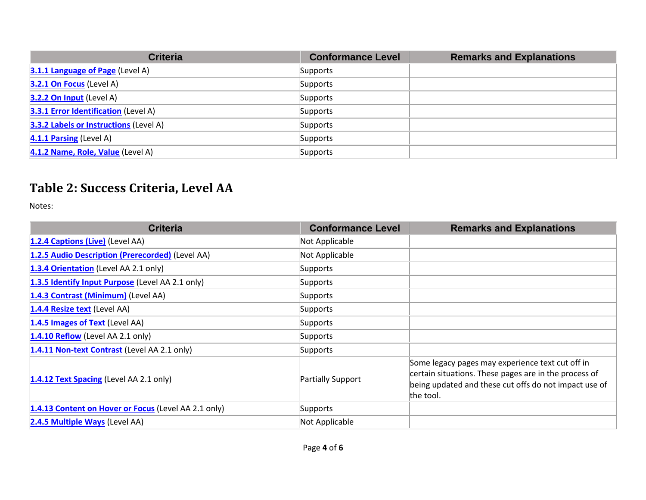| <b>Criteria</b>                               | <b>Conformance Level</b> | <b>Remarks and Explanations</b> |
|-----------------------------------------------|--------------------------|---------------------------------|
| 3.1.1 Language of Page (Level A)              | Supports                 |                                 |
| 3.2.1 On Focus (Level A)                      | Supports                 |                                 |
| 3.2.2 On Input (Level A)                      | Supports                 |                                 |
| <b>3.3.1 Error Identification</b> (Level A)   | Supports                 |                                 |
| <b>3.3.2 Labels or Instructions (Level A)</b> | Supports                 |                                 |
| 4.1.1 Parsing (Level A)                       | Supports                 |                                 |
| 4.1.2 Name, Role, Value (Level A)             | Supports                 |                                 |

### **Table 2: Success Criteria, Level AA**

Notes:

| <b>Criteria</b>                                      | <b>Conformance Level</b> | <b>Remarks and Explanations</b>                                                                                                                                                 |
|------------------------------------------------------|--------------------------|---------------------------------------------------------------------------------------------------------------------------------------------------------------------------------|
| 1.2.4 Captions (Live) (Level AA)                     | Not Applicable           |                                                                                                                                                                                 |
| 1.2.5 Audio Description (Prerecorded) (Level AA)     | Not Applicable           |                                                                                                                                                                                 |
| 1.3.4 Orientation (Level AA 2.1 only)                | Supports                 |                                                                                                                                                                                 |
| 1.3.5 Identify Input Purpose (Level AA 2.1 only)     | Supports                 |                                                                                                                                                                                 |
| 1.4.3 Contrast (Minimum) (Level AA)                  | Supports                 |                                                                                                                                                                                 |
| 1.4.4 Resize text (Level AA)                         | Supports                 |                                                                                                                                                                                 |
| 1.4.5 Images of Text (Level AA)                      | Supports                 |                                                                                                                                                                                 |
| 1.4.10 Reflow (Level AA 2.1 only)                    | Supports                 |                                                                                                                                                                                 |
| 1.4.11 Non-text Contrast (Level AA 2.1 only)         | Supports                 |                                                                                                                                                                                 |
| 1.4.12 Text Spacing (Level AA 2.1 only)              | Partially Support        | Some legacy pages may experience text cut off in<br>certain situations. These pages are in the process of<br>being updated and these cut offs do not impact use of<br>the tool. |
| 1.4.13 Content on Hover or Focus (Level AA 2.1 only) | Supports                 |                                                                                                                                                                                 |
| 2.4.5 Multiple Ways (Level AA)                       | Not Applicable           |                                                                                                                                                                                 |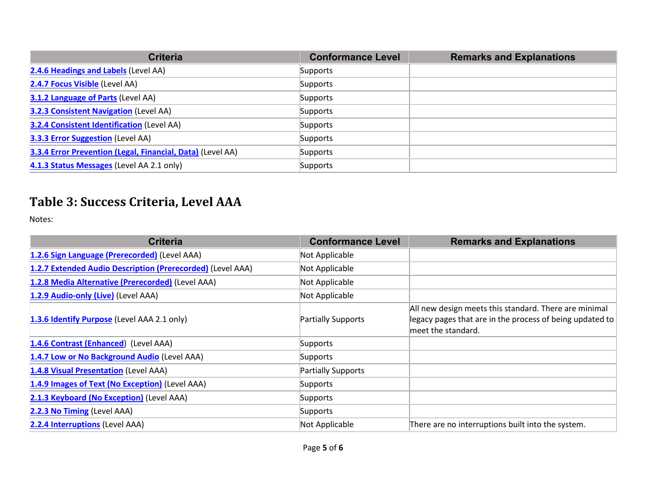| <b>Criteria</b>                                            | <b>Conformance Level</b> | <b>Remarks and Explanations</b> |
|------------------------------------------------------------|--------------------------|---------------------------------|
| 2.4.6 Headings and Labels (Level AA)                       | Supports                 |                                 |
| 2.4.7 Focus Visible (Level AA)                             | Supports                 |                                 |
| 3.1.2 Language of Parts (Level AA)                         | Supports                 |                                 |
| <b>3.2.3 Consistent Navigation (Level AA)</b>              | Supports                 |                                 |
| <b>3.2.4 Consistent Identification (Level AA)</b>          | Supports                 |                                 |
| 3.3.3 Error Suggestion (Level AA)                          | Supports                 |                                 |
| 3.3.4 Error Prevention (Legal, Financial, Data) (Level AA) | Supports                 |                                 |
| 4.1.3 Status Messages (Level AA 2.1 only)                  | Supports                 |                                 |

### **Table 3: Success Criteria, Level AAA**

Notes:

| <b>Criteria</b>                                            | <b>Conformance Level</b> | <b>Remarks and Explanations</b>                                                                                                         |
|------------------------------------------------------------|--------------------------|-----------------------------------------------------------------------------------------------------------------------------------------|
| 1.2.6 Sign Language (Prerecorded) (Level AAA)              | Not Applicable           |                                                                                                                                         |
| 1.2.7 Extended Audio Description (Prerecorded) (Level AAA) | Not Applicable           |                                                                                                                                         |
| 1.2.8 Media Alternative (Prerecorded) (Level AAA)          | Not Applicable           |                                                                                                                                         |
| 1.2.9 Audio-only (Live) (Level AAA)                        | Not Applicable           |                                                                                                                                         |
| 1.3.6 Identify Purpose (Level AAA 2.1 only)                | Partially Supports       | All new design meets this standard. There are minimal<br>legacy pages that are in the process of being updated to<br>meet the standard. |
| 1.4.6 Contrast (Enhanced) (Level AAA)                      | Supports                 |                                                                                                                                         |
| 1.4.7 Low or No Background Audio (Level AAA)               | Supports                 |                                                                                                                                         |
| 1.4.8 Visual Presentation (Level AAA)                      | Partially Supports       |                                                                                                                                         |
| 1.4.9 Images of Text (No Exception) (Level AAA)            | Supports                 |                                                                                                                                         |
| 2.1.3 Keyboard (No Exception) (Level AAA)                  | Supports                 |                                                                                                                                         |
| 2.2.3 No Timing (Level AAA)                                | Supports                 |                                                                                                                                         |
| <b>2.2.4 Interruptions (Level AAA)</b>                     | Not Applicable           | There are no interruptions built into the system.                                                                                       |